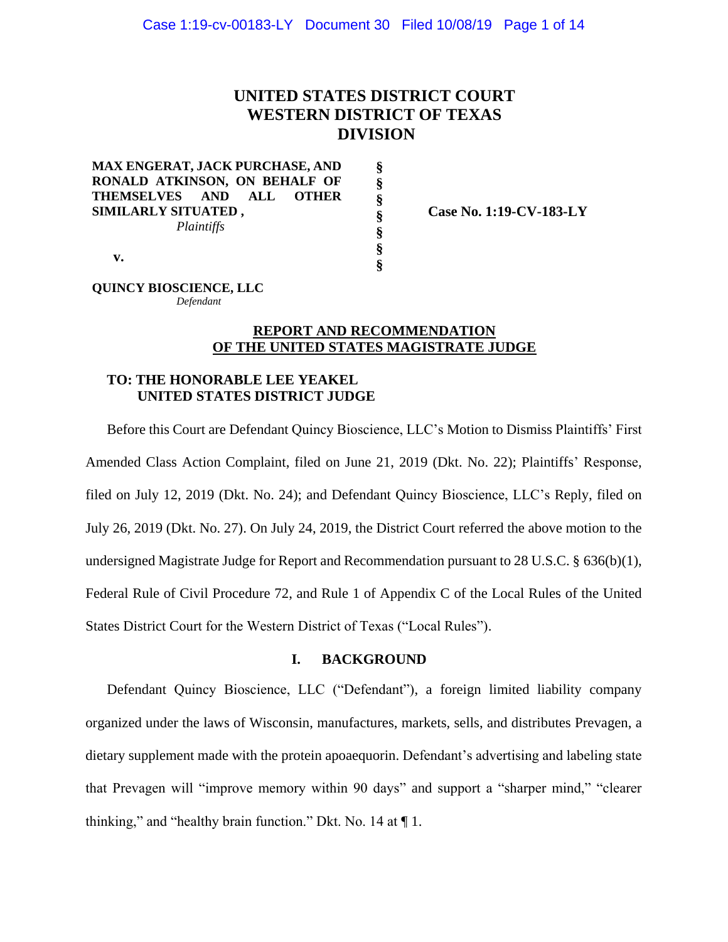# **UNITED STATES DISTRICT COURT WESTERN DISTRICT OF TEXAS DIVISION**

**§ § § § § § §**

**MAX ENGERAT, JACK PURCHASE, AND RONALD ATKINSON, ON BEHALF OF THEMSELVES AND ALL OTHER SIMILARLY SITUATED ,** *Plaintiffs*

 **Case No. 1:19-CV-183-LY**

**v.**

**QUINCY BIOSCIENCE, LLC** *Defendant*

## **REPORT AND RECOMMENDATION OF THE UNITED STATES MAGISTRATE JUDGE**

# **TO: THE HONORABLE LEE YEAKEL UNITED STATES DISTRICT JUDGE**

Before this Court are Defendant Quincy Bioscience, LLC's Motion to Dismiss Plaintiffs' First Amended Class Action Complaint, filed on June 21, 2019 (Dkt. No. 22); Plaintiffs' Response, filed on July 12, 2019 (Dkt. No. 24); and Defendant Quincy Bioscience, LLC's Reply, filed on July 26, 2019 (Dkt. No. 27). On July 24, 2019, the District Court referred the above motion to the undersigned Magistrate Judge for Report and Recommendation pursuant to 28 U.S.C. § 636(b)(1), Federal Rule of Civil Procedure 72, and Rule 1 of Appendix C of the Local Rules of the United States District Court for the Western District of Texas ("Local Rules").

## **I. BACKGROUND**

Defendant Quincy Bioscience, LLC ("Defendant"), a foreign limited liability company organized under the laws of Wisconsin, manufactures, markets, sells, and distributes Prevagen, a dietary supplement made with the protein apoaequorin. Defendant's advertising and labeling state that Prevagen will "improve memory within 90 days" and support a "sharper mind," "clearer thinking," and "healthy brain function." Dkt. No. 14 at ¶ 1.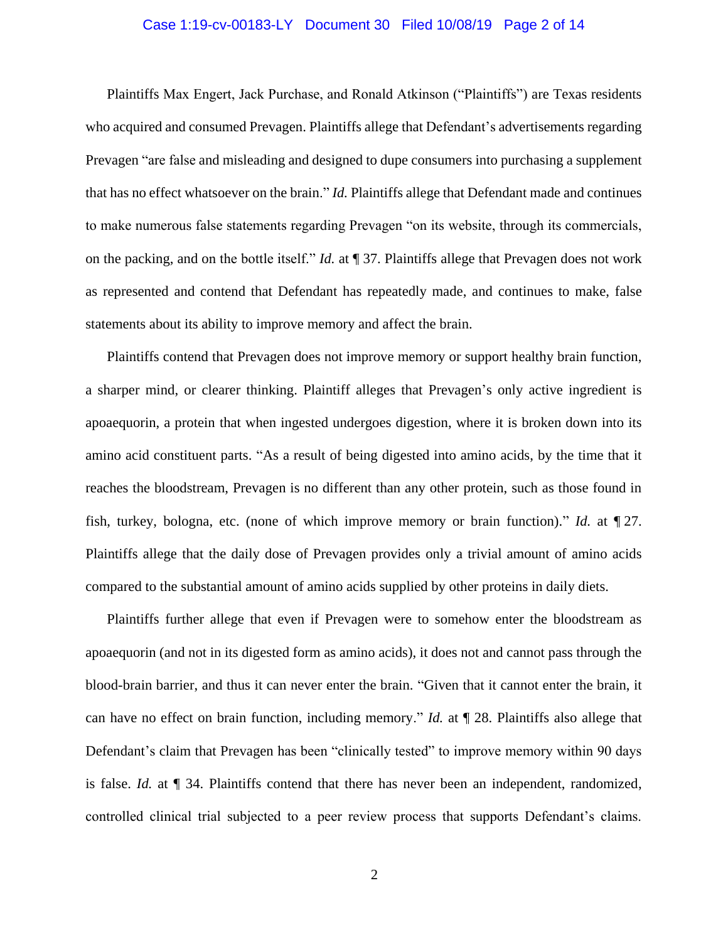### Case 1:19-cv-00183-LY Document 30 Filed 10/08/19 Page 2 of 14

Plaintiffs Max Engert, Jack Purchase, and Ronald Atkinson ("Plaintiffs") are Texas residents who acquired and consumed Prevagen. Plaintiffs allege that Defendant's advertisements regarding Prevagen "are false and misleading and designed to dupe consumers into purchasing a supplement that has no effect whatsoever on the brain." *Id.* Plaintiffs allege that Defendant made and continues to make numerous false statements regarding Prevagen "on its website, through its commercials, on the packing, and on the bottle itself." *Id.* at ¶ 37. Plaintiffs allege that Prevagen does not work as represented and contend that Defendant has repeatedly made, and continues to make, false statements about its ability to improve memory and affect the brain.

Plaintiffs contend that Prevagen does not improve memory or support healthy brain function, a sharper mind, or clearer thinking. Plaintiff alleges that Prevagen's only active ingredient is apoaequorin, a protein that when ingested undergoes digestion, where it is broken down into its amino acid constituent parts. "As a result of being digested into amino acids, by the time that it reaches the bloodstream, Prevagen is no different than any other protein, such as those found in fish, turkey, bologna, etc. (none of which improve memory or brain function)." *Id.* at ¶ 27. Plaintiffs allege that the daily dose of Prevagen provides only a trivial amount of amino acids compared to the substantial amount of amino acids supplied by other proteins in daily diets.

Plaintiffs further allege that even if Prevagen were to somehow enter the bloodstream as apoaequorin (and not in its digested form as amino acids), it does not and cannot pass through the blood-brain barrier, and thus it can never enter the brain. "Given that it cannot enter the brain, it can have no effect on brain function, including memory." *Id.* at ¶ 28. Plaintiffs also allege that Defendant's claim that Prevagen has been "clinically tested" to improve memory within 90 days is false. *Id.* at ¶ 34. Plaintiffs contend that there has never been an independent, randomized, controlled clinical trial subjected to a peer review process that supports Defendant's claims.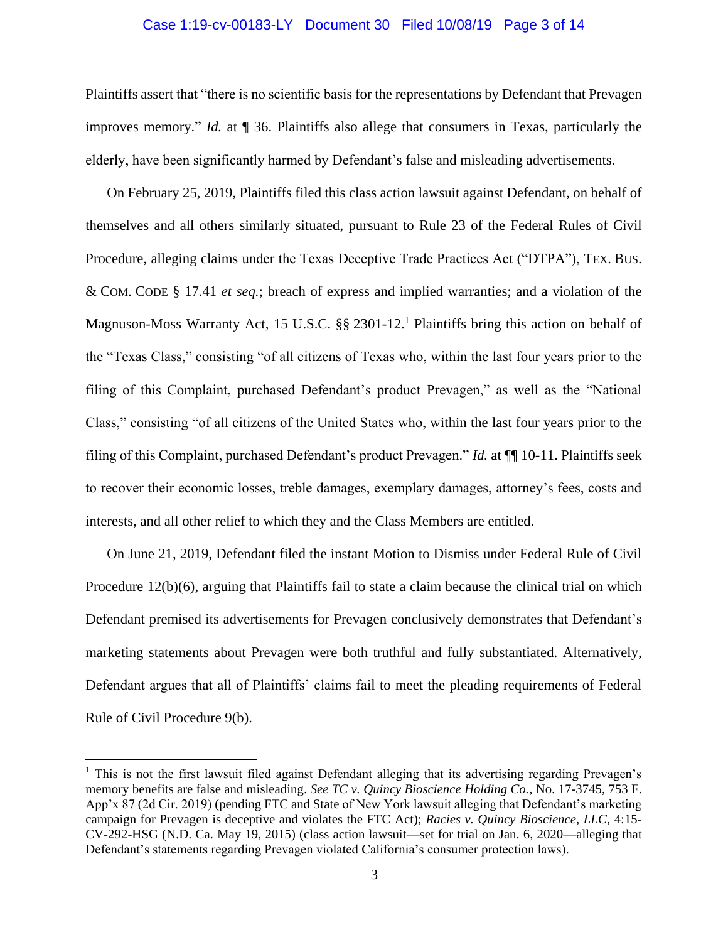# Case 1:19-cv-00183-LY Document 30 Filed 10/08/19 Page 3 of 14

Plaintiffs assert that "there is no scientific basis for the representations by Defendant that Prevagen improves memory." *Id.* at ¶ 36. Plaintiffs also allege that consumers in Texas, particularly the elderly, have been significantly harmed by Defendant's false and misleading advertisements.

On February 25, 2019, Plaintiffs filed this class action lawsuit against Defendant, on behalf of themselves and all others similarly situated, pursuant to Rule 23 of the Federal Rules of Civil Procedure, alleging claims under the Texas Deceptive Trade Practices Act ("DTPA"), TEX. BUS. & COM. CODE § 17.41 *et seq.*; breach of express and implied warranties; and a violation of the Magnuson-Moss Warranty Act, 15 U.S.C. §§ 2301-12.<sup>1</sup> Plaintiffs bring this action on behalf of the "Texas Class," consisting "of all citizens of Texas who, within the last four years prior to the filing of this Complaint, purchased Defendant's product Prevagen," as well as the "National Class," consisting "of all citizens of the United States who, within the last four years prior to the filing of this Complaint, purchased Defendant's product Prevagen." *Id.* at ¶¶ 10-11. Plaintiffs seek to recover their economic losses, treble damages, exemplary damages, attorney's fees, costs and interests, and all other relief to which they and the Class Members are entitled.

On June 21, 2019, Defendant filed the instant Motion to Dismiss under Federal Rule of Civil Procedure 12(b)(6), arguing that Plaintiffs fail to state a claim because the clinical trial on which Defendant premised its advertisements for Prevagen conclusively demonstrates that Defendant's marketing statements about Prevagen were both truthful and fully substantiated. Alternatively, Defendant argues that all of Plaintiffs' claims fail to meet the pleading requirements of Federal Rule of Civil Procedure 9(b).

 $\overline{a}$ 

<sup>&</sup>lt;sup>1</sup> This is not the first lawsuit filed against Defendant alleging that its advertising regarding Prevagen's memory benefits are false and misleading. *See TC v. Quincy Bioscience Holding Co.*, No. 17-3745, 753 F. App'x 87 (2d Cir. 2019) (pending FTC and State of New York lawsuit alleging that Defendant's marketing campaign for Prevagen is deceptive and violates the FTC Act); *Racies v. Quincy Bioscience, LLC*, 4:15- CV-292-HSG (N.D. Ca. May 19, 2015) (class action lawsuit—set for trial on Jan. 6, 2020—alleging that Defendant's statements regarding Prevagen violated California's consumer protection laws).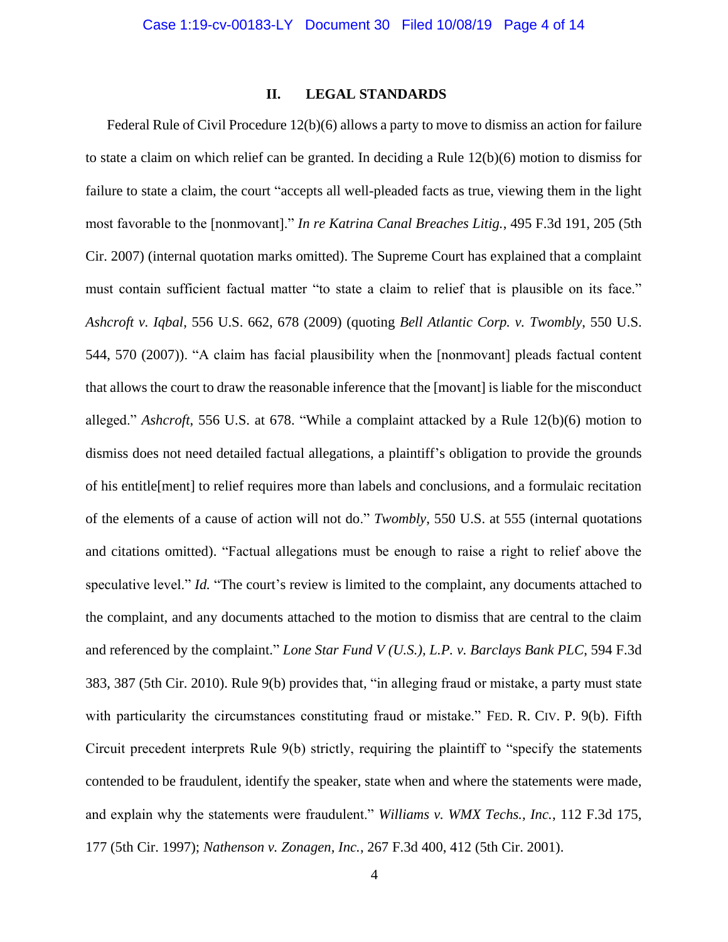## **II. LEGAL STANDARDS**

Federal Rule of Civil Procedure 12(b)(6) allows a party to move to dismiss an action for failure to state a claim on which relief can be granted. In deciding a Rule 12(b)(6) motion to dismiss for failure to state a claim, the court "accepts all well-pleaded facts as true, viewing them in the light most favorable to the [nonmovant]." *In re Katrina Canal Breaches Litig.*, 495 F.3d 191, 205 (5th Cir. 2007) (internal quotation marks omitted). The Supreme Court has explained that a complaint must contain sufficient factual matter "to state a claim to relief that is plausible on its face." *Ashcroft v. Iqbal*, 556 U.S. 662, 678 (2009) (quoting *Bell Atlantic Corp. v. Twombly*, 550 U.S. 544, 570 (2007)). "A claim has facial plausibility when the [nonmovant] pleads factual content that allows the court to draw the reasonable inference that the [movant] is liable for the misconduct alleged." *Ashcroft*, 556 U.S. at 678. "While a complaint attacked by a Rule 12(b)(6) motion to dismiss does not need detailed factual allegations, a plaintiff's obligation to provide the grounds of his entitle[ment] to relief requires more than labels and conclusions, and a formulaic recitation of the elements of a cause of action will not do." *Twombly*, 550 U.S. at 555 (internal quotations and citations omitted). "Factual allegations must be enough to raise a right to relief above the speculative level." *Id.* "The court's review is limited to the complaint, any documents attached to the complaint, and any documents attached to the motion to dismiss that are central to the claim and referenced by the complaint." *Lone Star Fund V (U.S.), L.P. v. Barclays Bank PLC*, 594 F.3d 383, 387 (5th Cir. 2010). Rule 9(b) provides that, "in alleging fraud or mistake, a party must state with particularity the circumstances constituting fraud or mistake." FED. R. CIV. P. 9(b). Fifth Circuit precedent interprets Rule 9(b) strictly, requiring the plaintiff to "specify the statements contended to be fraudulent, identify the speaker, state when and where the statements were made, and explain why the statements were fraudulent." *Williams v. WMX Techs., Inc.*, 112 F.3d 175, 177 (5th Cir. 1997); *Nathenson v. Zonagen, Inc.*, 267 F.3d 400, 412 (5th Cir. 2001).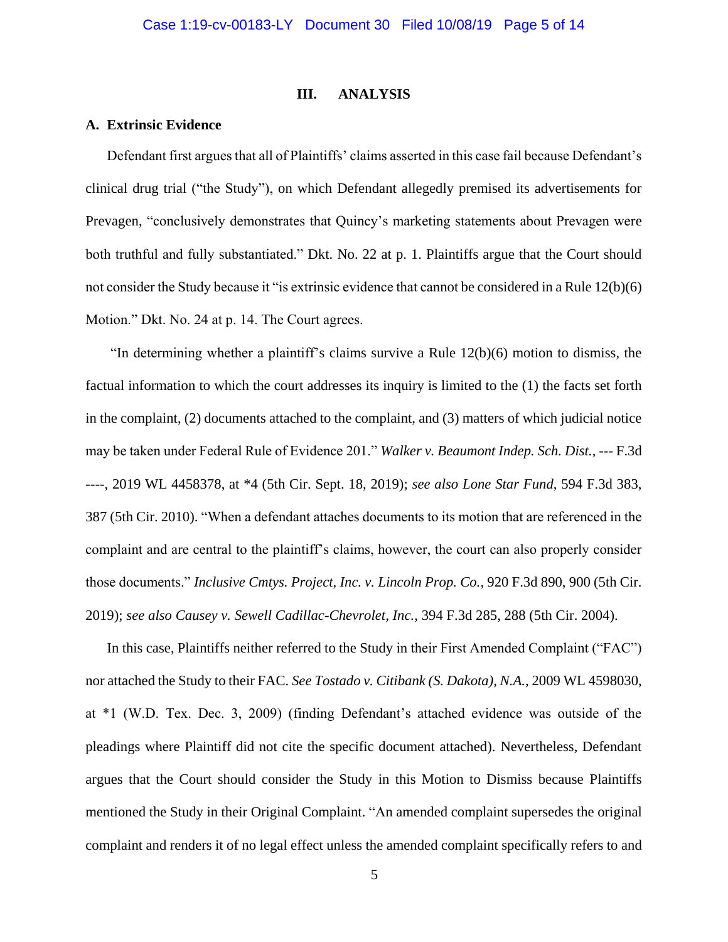#### **III. ANALYSIS**

## **A. Extrinsic Evidence**

Defendant first argues that all of Plaintiffs' claims asserted in this case fail because Defendant's clinical drug trial ("the Study"), on which Defendant allegedly premised its advertisements for Prevagen, "conclusively demonstrates that Quincy's marketing statements about Prevagen were both truthful and fully substantiated." Dkt. No. 22 at p. 1. Plaintiffs argue that the Court should not consider the Study because it "is extrinsic evidence that cannot be considered in a Rule 12(b)(6) Motion." Dkt. No. 24 at p. 14. The Court agrees.

"In determining whether a plaintiff's claims survive a Rule 12(b)(6) motion to dismiss, the factual information to which the court addresses its inquiry is limited to the (1) the facts set forth in the complaint, (2) documents attached to the complaint, and (3) matters of which judicial notice may be taken under Federal Rule of Evidence 201." *Walker v. Beaumont Indep. Sch. Dist.*, --- F.3d ----, 2019 WL 4458378, at \*4 (5th Cir. Sept. 18, 2019); *see also Lone Star Fund*, 594 F.3d 383, 387 (5th Cir. 2010). "When a defendant attaches documents to its motion that are referenced in the complaint and are central to the plaintiff's claims, however, the court can also properly consider those documents." *Inclusive Cmtys. Project, Inc. v. Lincoln Prop. Co.*, 920 F.3d 890, 900 (5th Cir. 2019); *see also Causey v. Sewell Cadillac-Chevrolet, Inc.*, 394 F.3d 285, 288 (5th Cir. 2004).

In this case, Plaintiffs neither referred to the Study in their First Amended Complaint ("FAC") nor attached the Study to their FAC. *See Tostado v. Citibank (S. Dakota), N.A.*, 2009 WL 4598030, at \*1 (W.D. Tex. Dec. 3, 2009) (finding Defendant's attached evidence was outside of the pleadings where Plaintiff did not cite the specific document attached). Nevertheless, Defendant argues that the Court should consider the Study in this Motion to Dismiss because Plaintiffs mentioned the Study in their Original Complaint. "An amended complaint supersedes the original complaint and renders it of no legal effect unless the amended complaint specifically refers to and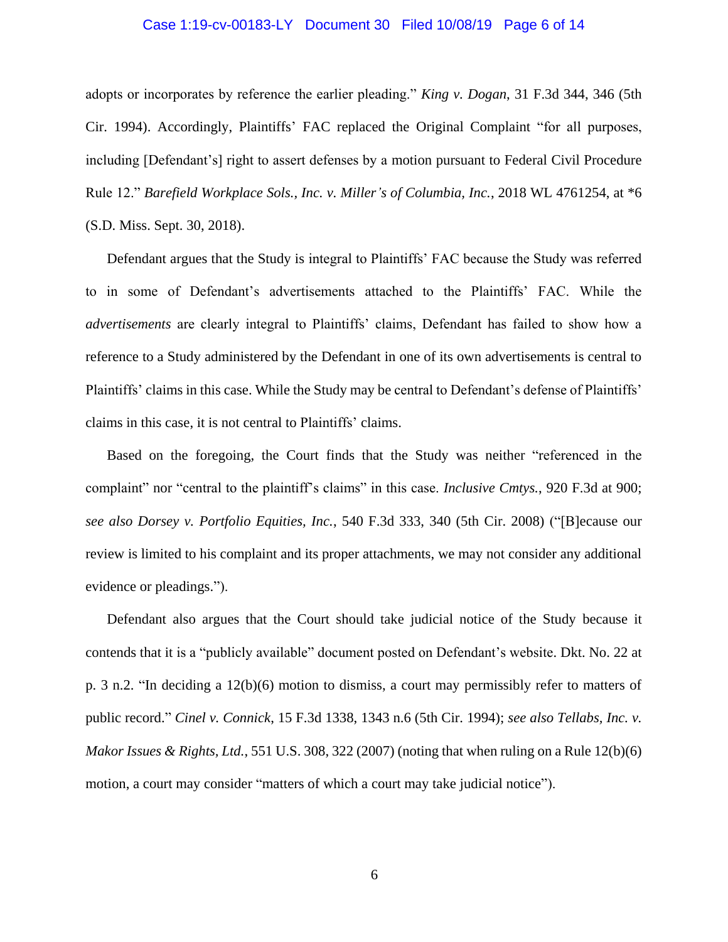#### Case 1:19-cv-00183-LY Document 30 Filed 10/08/19 Page 6 of 14

adopts or incorporates by reference the earlier pleading." *King v. Dogan*, 31 F.3d 344, 346 (5th Cir. 1994). Accordingly, Plaintiffs' FAC replaced the Original Complaint "for all purposes, including [Defendant's] right to assert defenses by a motion pursuant to Federal Civil Procedure Rule 12." *Barefield Workplace Sols., Inc. v. Miller's of Columbia, Inc.*, 2018 WL 4761254, at \*6 (S.D. Miss. Sept. 30, 2018).

Defendant argues that the Study is integral to Plaintiffs' FAC because the Study was referred to in some of Defendant's advertisements attached to the Plaintiffs' FAC. While the *advertisements* are clearly integral to Plaintiffs' claims, Defendant has failed to show how a reference to a Study administered by the Defendant in one of its own advertisements is central to Plaintiffs' claims in this case. While the Study may be central to Defendant's defense of Plaintiffs' claims in this case, it is not central to Plaintiffs' claims.

Based on the foregoing, the Court finds that the Study was neither "referenced in the complaint" nor "central to the plaintiff's claims" in this case. *Inclusive Cmtys.*, 920 F.3d at 900; *see also Dorsey v. Portfolio Equities, Inc.*, 540 F.3d 333, 340 (5th Cir. 2008) ("[B]ecause our review is limited to his complaint and its proper attachments, we may not consider any additional evidence or pleadings.").

Defendant also argues that the Court should take judicial notice of the Study because it contends that it is a "publicly available" document posted on Defendant's website. Dkt. No. 22 at p. 3 n.2. "In deciding a 12(b)(6) motion to dismiss, a court may permissibly refer to matters of public record." *Cinel v. Connick*, 15 F.3d 1338, 1343 n.6 (5th Cir. 1994); *see also Tellabs, Inc. v. Makor Issues & Rights, Ltd.*, 551 U.S. 308, 322 (2007) (noting that when ruling on a Rule 12(b)(6) motion, a court may consider "matters of which a court may take judicial notice").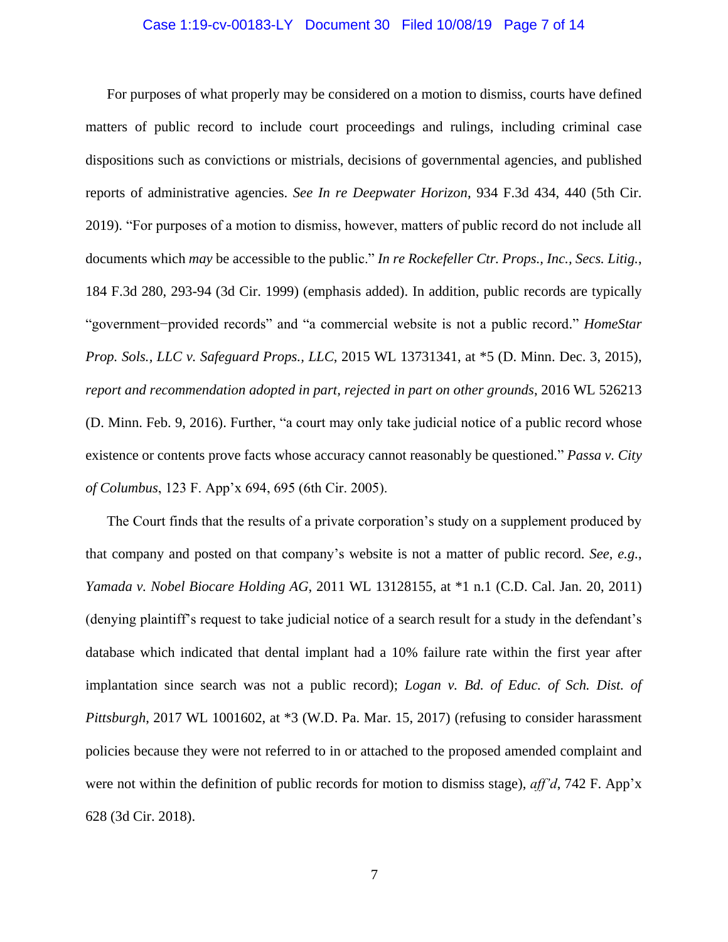### Case 1:19-cv-00183-LY Document 30 Filed 10/08/19 Page 7 of 14

For purposes of what properly may be considered on a motion to dismiss, courts have defined matters of public record to include court proceedings and rulings, including criminal case dispositions such as convictions or mistrials, decisions of governmental agencies, and published reports of administrative agencies. *See In re Deepwater Horizon*, 934 F.3d 434, 440 (5th Cir. 2019). "For purposes of a motion to dismiss, however, matters of public record do not include all documents which *may* be accessible to the public." *In re Rockefeller Ctr. Props., Inc., Secs. Litig.*, 184 F.3d 280, 293-94 (3d Cir. 1999) (emphasis added). In addition, public records are typically "government−provided records" and "a commercial website is not a public record." *HomeStar Prop. Sols., LLC v. Safeguard Props., LLC*, 2015 WL 13731341, at \*5 (D. Minn. Dec. 3, 2015), *report and recommendation adopted in part, rejected in part on other grounds*, 2016 WL 526213 (D. Minn. Feb. 9, 2016). Further, "a court may only take judicial notice of a public record whose existence or contents prove facts whose accuracy cannot reasonably be questioned*.*" *Passa v. City of Columbus*, 123 F. App'x 694, 695 (6th Cir. 2005).

The Court finds that the results of a private corporation's study on a supplement produced by that company and posted on that company's website is not a matter of public record. *See, e.g.*, *Yamada v. Nobel Biocare Holding AG*, 2011 WL 13128155, at \*1 n.1 (C.D. Cal. Jan. 20, 2011) (denying plaintiff's request to take judicial notice of a search result for a study in the defendant's database which indicated that dental implant had a 10% failure rate within the first year after implantation since search was not a public record); *Logan v. Bd. of Educ. of Sch. Dist. of Pittsburgh*, 2017 WL 1001602, at \*3 (W.D. Pa. Mar. 15, 2017) (refusing to consider harassment policies because they were not referred to in or attached to the proposed amended complaint and were not within the definition of public records for motion to dismiss stage), *aff'd*, 742 F. App'x 628 (3d Cir. 2018).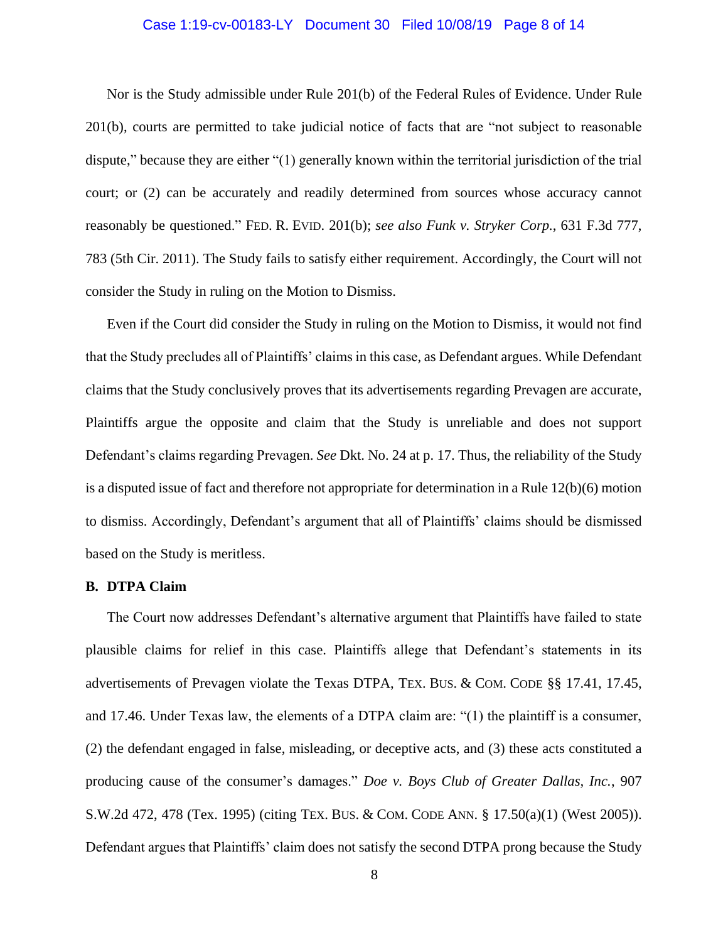### Case 1:19-cv-00183-LY Document 30 Filed 10/08/19 Page 8 of 14

Nor is the Study admissible under Rule 201(b) of the Federal Rules of Evidence. Under Rule 201(b), courts are permitted to take judicial notice of facts that are "not subject to reasonable dispute," because they are either "(1) generally known within the territorial jurisdiction of the trial court; or (2) can be accurately and readily determined from sources whose accuracy cannot reasonably be questioned." FED. R. EVID. 201(b); *see also Funk v. Stryker Corp.*, 631 F.3d 777, 783 (5th Cir. 2011). The Study fails to satisfy either requirement. Accordingly, the Court will not consider the Study in ruling on the Motion to Dismiss.

Even if the Court did consider the Study in ruling on the Motion to Dismiss, it would not find that the Study precludes all of Plaintiffs' claims in this case, as Defendant argues. While Defendant claims that the Study conclusively proves that its advertisements regarding Prevagen are accurate, Plaintiffs argue the opposite and claim that the Study is unreliable and does not support Defendant's claims regarding Prevagen. *See* Dkt. No. 24 at p. 17. Thus, the reliability of the Study is a disputed issue of fact and therefore not appropriate for determination in a Rule 12(b)(6) motion to dismiss. Accordingly, Defendant's argument that all of Plaintiffs' claims should be dismissed based on the Study is meritless.

### **B. DTPA Claim**

The Court now addresses Defendant's alternative argument that Plaintiffs have failed to state plausible claims for relief in this case. Plaintiffs allege that Defendant's statements in its advertisements of Prevagen violate the Texas DTPA, TEX. BUS. & COM. CODE §§ 17.41, 17.45, and 17.46. Under Texas law, the elements of a DTPA claim are: "(1) the plaintiff is a consumer, (2) the defendant engaged in false, misleading, or deceptive acts, and (3) these acts constituted a producing cause of the consumer's damages." *Doe v. Boys Club of Greater Dallas, Inc.*, 907 S.W.2d 472, 478 (Tex. 1995) (citing TEX. BUS. & COM. CODE ANN. § 17.50(a)(1) (West 2005)). Defendant argues that Plaintiffs' claim does not satisfy the second DTPA prong because the Study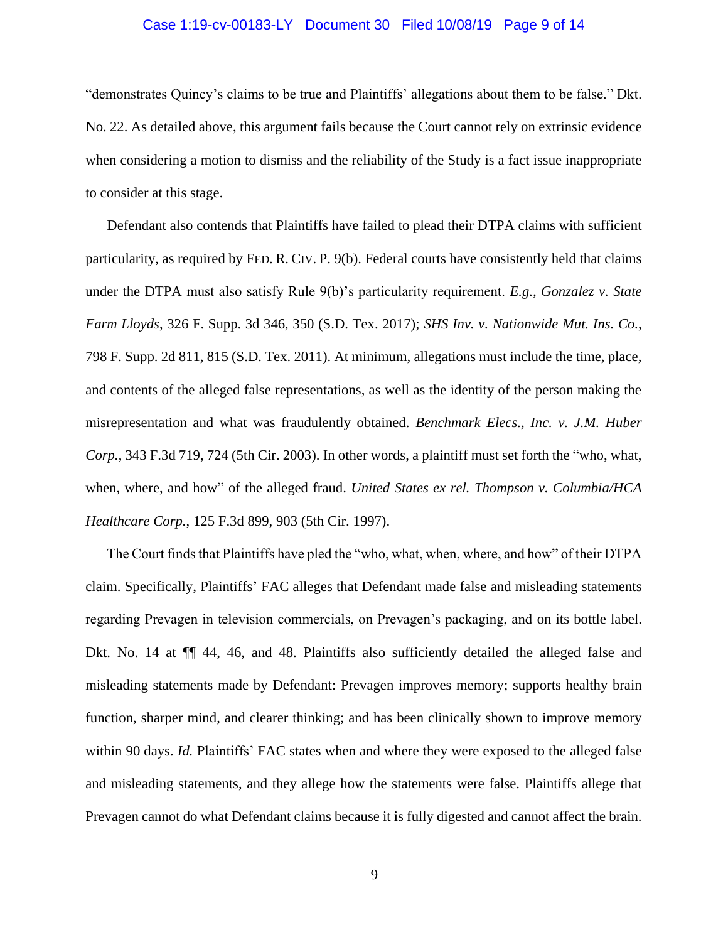### Case 1:19-cv-00183-LY Document 30 Filed 10/08/19 Page 9 of 14

"demonstrates Quincy's claims to be true and Plaintiffs' allegations about them to be false." Dkt. No. 22. As detailed above, this argument fails because the Court cannot rely on extrinsic evidence when considering a motion to dismiss and the reliability of the Study is a fact issue inappropriate to consider at this stage.

Defendant also contends that Plaintiffs have failed to plead their DTPA claims with sufficient particularity, as required by FED. R. CIV. P. 9(b). Federal courts have consistently held that claims under the DTPA must also satisfy Rule 9(b)'s particularity requirement. *E.g., Gonzalez v. State Farm Lloyds*, 326 F. Supp. 3d 346, 350 (S.D. Tex. 2017); *SHS Inv. v. Nationwide Mut. Ins. Co.*, 798 F. Supp. 2d 811, 815 (S.D. Tex. 2011). At minimum, allegations must include the time, place, and contents of the alleged false representations, as well as the identity of the person making the misrepresentation and what was fraudulently obtained. *Benchmark Elecs., Inc. v. J.M. Huber Corp.*, 343 F.3d 719, 724 (5th Cir. 2003). In other words, a plaintiff must set forth the "who, what, when, where, and how" of the alleged fraud. *United States ex rel. Thompson v. Columbia/HCA Healthcare Corp.*, 125 F.3d 899, 903 (5th Cir. 1997).

The Court finds that Plaintiffs have pled the "who, what, when, where, and how" of their DTPA claim. Specifically, Plaintiffs' FAC alleges that Defendant made false and misleading statements regarding Prevagen in television commercials, on Prevagen's packaging, and on its bottle label. Dkt. No. 14 at  $\P$  44, 46, and 48. Plaintiffs also sufficiently detailed the alleged false and misleading statements made by Defendant: Prevagen improves memory; supports healthy brain function, sharper mind, and clearer thinking; and has been clinically shown to improve memory within 90 days. *Id.* Plaintiffs' FAC states when and where they were exposed to the alleged false and misleading statements, and they allege how the statements were false. Plaintiffs allege that Prevagen cannot do what Defendant claims because it is fully digested and cannot affect the brain.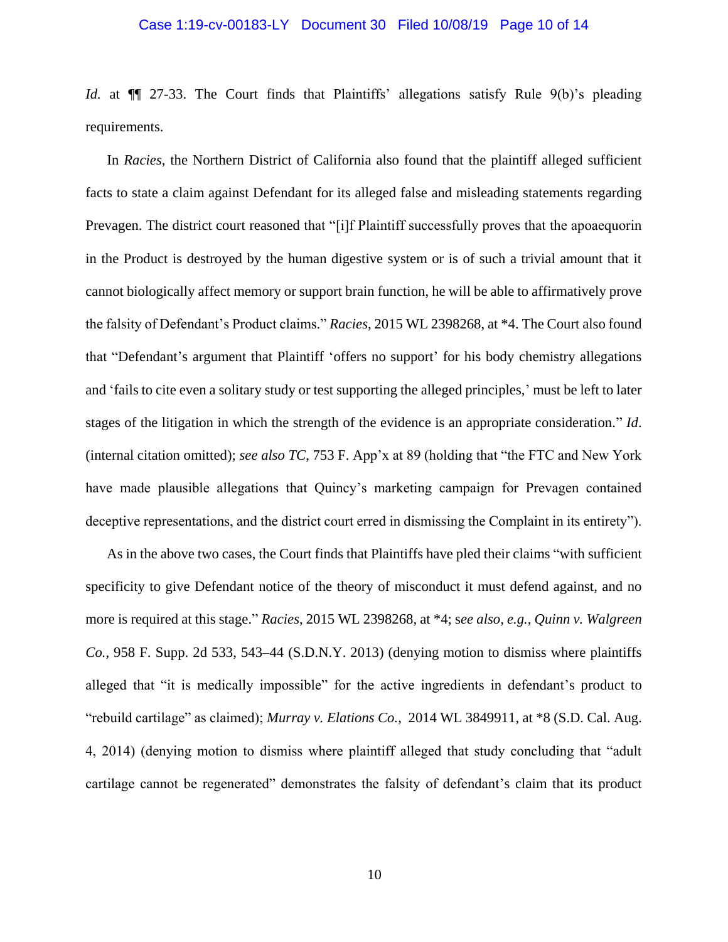#### Case 1:19-cv-00183-LY Document 30 Filed 10/08/19 Page 10 of 14

*Id.* at  $\P$  27-33. The Court finds that Plaintiffs' allegations satisfy Rule 9(b)'s pleading requirements.

In *Racies*, the Northern District of California also found that the plaintiff alleged sufficient facts to state a claim against Defendant for its alleged false and misleading statements regarding Prevagen. The district court reasoned that "[i]f Plaintiff successfully proves that the apoaequorin in the Product is destroyed by the human digestive system or is of such a trivial amount that it cannot biologically affect memory or support brain function, he will be able to affirmatively prove the falsity of Defendant's Product claims." *Racies*, 2015 WL 2398268, at \*4. The Court also found that "Defendant's argument that Plaintiff 'offers no support' for his body chemistry allegations and 'fails to cite even a solitary study or test supporting the alleged principles,' must be left to later stages of the litigation in which the strength of the evidence is an appropriate consideration." *Id*. (internal citation omitted); *see also TC*, 753 F. App'x at 89 (holding that "the FTC and New York have made plausible allegations that Quincy's marketing campaign for Prevagen contained deceptive representations, and the district court erred in dismissing the Complaint in its entirety").

As in the above two cases, the Court finds that Plaintiffs have pled their claims "with sufficient specificity to give Defendant notice of the theory of misconduct it must defend against, and no more is required at this stage." *Racies*, 2015 WL 2398268, at \*4; s*ee also, e.g.*, *Quinn v. Walgreen Co.*, 958 F. Supp. 2d 533, 543–44 (S.D.N.Y. 2013) (denying motion to dismiss where plaintiffs alleged that "it is medically impossible" for the active ingredients in defendant's product to "rebuild cartilage" as claimed); *Murray v. Elations Co.*, 2014 WL 3849911, at \*8 (S.D. Cal. Aug. 4, 2014) (denying motion to dismiss where plaintiff alleged that study concluding that "adult cartilage cannot be regenerated" demonstrates the falsity of defendant's claim that its product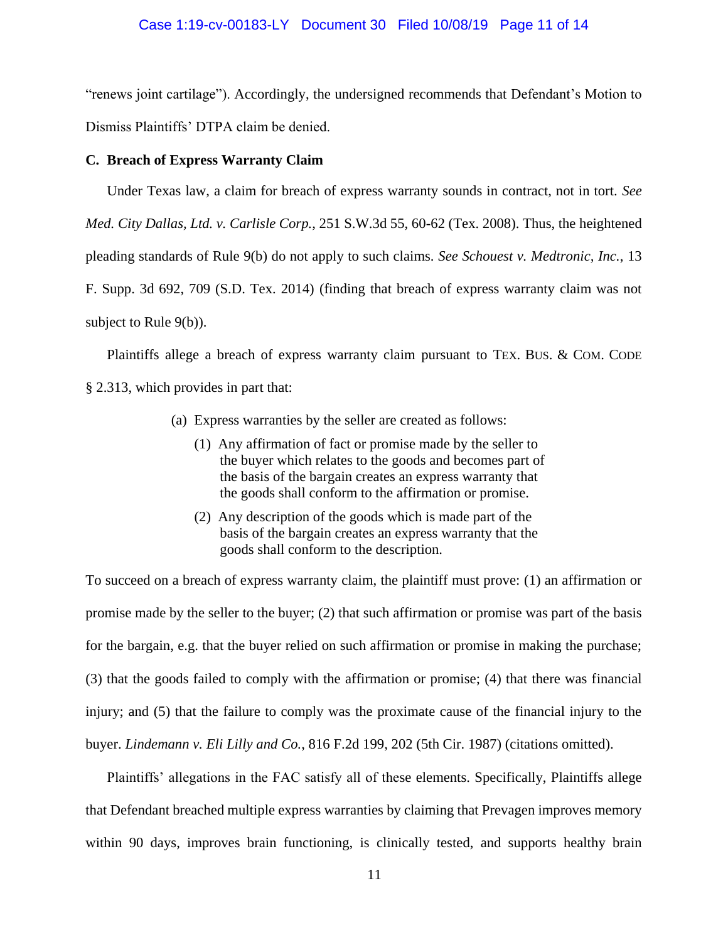### Case 1:19-cv-00183-LY Document 30 Filed 10/08/19 Page 11 of 14

"renews joint cartilage"). Accordingly, the undersigned recommends that Defendant's Motion to Dismiss Plaintiffs' DTPA claim be denied.

### **C. Breach of Express Warranty Claim**

Under Texas law, a claim for breach of express warranty sounds in contract, not in tort. *See Med. City Dallas, Ltd. v. Carlisle Corp.*, 251 S.W.3d 55, 60-62 (Tex. 2008). Thus, the heightened pleading standards of Rule 9(b) do not apply to such claims. *See Schouest v. Medtronic, Inc.*, 13 F. Supp. 3d 692, 709 (S.D. Tex. 2014) (finding that breach of express warranty claim was not subject to Rule 9(b)).

Plaintiffs allege a breach of express warranty claim pursuant to TEX. BUS. & COM. CODE § 2.313, which provides in part that:

- (a) Express warranties by the seller are created as follows:
	- (1) Any affirmation of fact or promise made by the seller to the buyer which relates to the goods and becomes part of the basis of the bargain creates an express warranty that the goods shall conform to the affirmation or promise.
	- (2) Any description of the goods which is made part of the basis of the bargain creates an express warranty that the goods shall conform to the description.

To succeed on a breach of express warranty claim, the plaintiff must prove: (1) an affirmation or promise made by the seller to the buyer; (2) that such affirmation or promise was part of the basis for the bargain, e.g. that the buyer relied on such affirmation or promise in making the purchase; (3) that the goods failed to comply with the affirmation or promise; (4) that there was financial injury; and (5) that the failure to comply was the proximate cause of the financial injury to the buyer. *Lindemann v. Eli Lilly and Co.*, 816 F.2d 199, 202 (5th Cir. 1987) (citations omitted).

Plaintiffs' allegations in the FAC satisfy all of these elements. Specifically, Plaintiffs allege that Defendant breached multiple express warranties by claiming that Prevagen improves memory within 90 days, improves brain functioning, is clinically tested, and supports healthy brain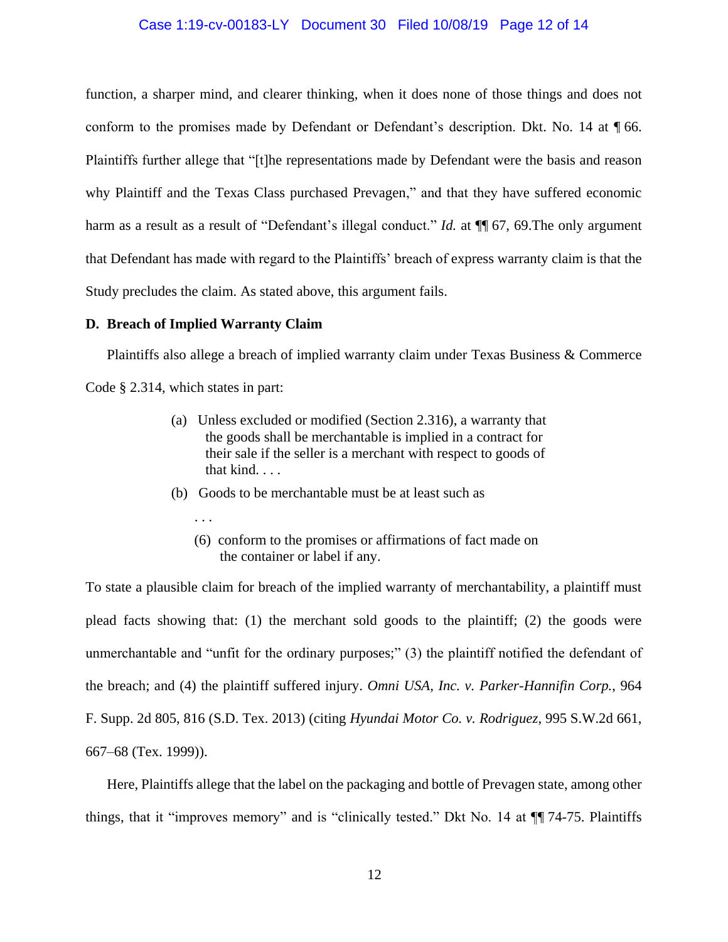#### Case 1:19-cv-00183-LY Document 30 Filed 10/08/19 Page 12 of 14

function, a sharper mind, and clearer thinking, when it does none of those things and does not conform to the promises made by Defendant or Defendant's description. Dkt. No. 14 at ¶ 66. Plaintiffs further allege that "[t]he representations made by Defendant were the basis and reason why Plaintiff and the Texas Class purchased Prevagen," and that they have suffered economic harm as a result as a result of "Defendant's illegal conduct." *Id.* at  $\P$  67, 69. The only argument that Defendant has made with regard to the Plaintiffs' breach of express warranty claim is that the Study precludes the claim. As stated above, this argument fails.

#### **D. Breach of Implied Warranty Claim**

Plaintiffs also allege a breach of implied warranty claim under Texas Business & Commerce Code § 2.314, which states in part:

- (a) Unless excluded or modified (Section 2.316), a warranty that the goods shall be merchantable is implied in a contract for their sale if the seller is a merchant with respect to goods of that kind. . . .
- (b) Goods to be merchantable must be at least such as
	- . . .
	- (6) conform to the promises or affirmations of fact made on the container or label if any.

To state a plausible claim for breach of the implied warranty of merchantability, a plaintiff must plead facts showing that: (1) the merchant sold goods to the plaintiff; (2) the goods were unmerchantable and "unfit for the ordinary purposes;" (3) the plaintiff notified the defendant of the breach; and (4) the plaintiff suffered injury. *Omni USA, Inc. v. Parker-Hannifin Corp.*, 964 F. Supp. 2d 805, 816 (S.D. Tex. 2013) (citing *Hyundai Motor Co. v. Rodriguez*, 995 S.W.2d 661, 667–68 (Tex. 1999)).

Here, Plaintiffs allege that the label on the packaging and bottle of Prevagen state, among other things, that it "improves memory" and is "clinically tested." Dkt No. 14 at ¶¶ 74-75. Plaintiffs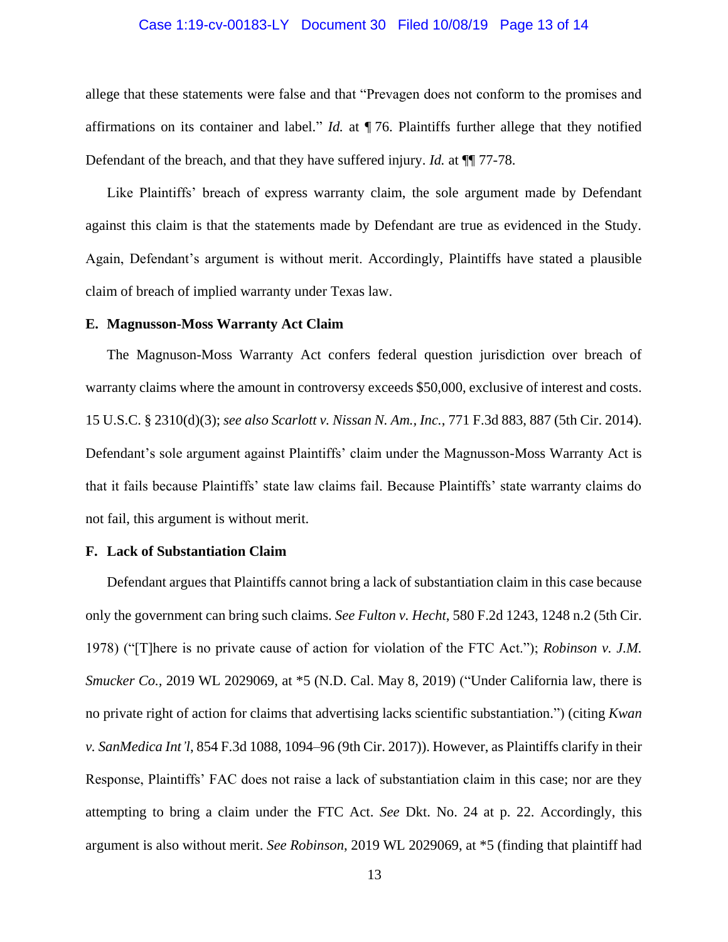### Case 1:19-cv-00183-LY Document 30 Filed 10/08/19 Page 13 of 14

allege that these statements were false and that "Prevagen does not conform to the promises and affirmations on its container and label." *Id.* at ¶ 76. Plaintiffs further allege that they notified Defendant of the breach, and that they have suffered injury. *Id.* at ¶¶ 77-78.

Like Plaintiffs' breach of express warranty claim, the sole argument made by Defendant against this claim is that the statements made by Defendant are true as evidenced in the Study. Again, Defendant's argument is without merit. Accordingly, Plaintiffs have stated a plausible claim of breach of implied warranty under Texas law.

### **E. Magnusson-Moss Warranty Act Claim**

The Magnuson-Moss Warranty Act confers federal question jurisdiction over breach of warranty claims where the amount in controversy exceeds \$50,000, exclusive of interest and costs. 15 U.S.C. § 2310(d)(3); *see also Scarlott v. Nissan N. Am., Inc.*, 771 F.3d 883, 887 (5th Cir. 2014). Defendant's sole argument against Plaintiffs' claim under the Magnusson-Moss Warranty Act is that it fails because Plaintiffs' state law claims fail. Because Plaintiffs' state warranty claims do not fail, this argument is without merit.

### **F. Lack of Substantiation Claim**

Defendant argues that Plaintiffs cannot bring a lack of substantiation claim in this case because only the government can bring such claims. *See Fulton v. Hecht*, 580 F.2d 1243, 1248 n.2 (5th Cir. 1978) ("[T]here is no private cause of action for violation of the FTC Act."); *Robinson v. J.M. Smucker Co.,* 2019 WL 2029069, at \*5 (N.D. Cal. May 8, 2019) ("Under California law, there is no private right of action for claims that advertising lacks scientific substantiation.") (citing *Kwan v. SanMedica Int'l*, 854 F.3d 1088, 1094–96 (9th Cir. 2017)). However, as Plaintiffs clarify in their Response, Plaintiffs' FAC does not raise a lack of substantiation claim in this case; nor are they attempting to bring a claim under the FTC Act. *See* Dkt. No. 24 at p. 22. Accordingly, this argument is also without merit. *See Robinson*, 2019 WL 2029069, at \*5 (finding that plaintiff had